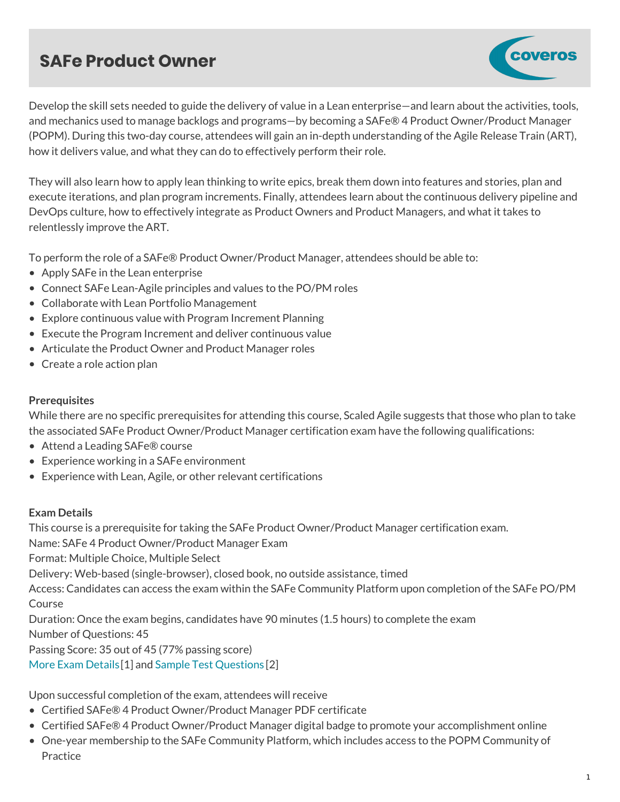# **SAFe Product Owner**



Develop the skill sets needed to guide the delivery of value in a Lean enterprise—and learn about the activities, tools, and mechanics used to manage backlogs and programs—by becoming a SAFe® 4 Product Owner/Product Manager (POPM). During this two-day course, attendees will gain an in-depth understanding of the Agile Release Train (ART), how it delivers value, and what they can do to effectively perform their role.

They will also learn how to apply lean thinking to write epics, break them down into features and stories, plan and execute iterations, and plan program increments. Finally, attendees learn about the continuous delivery pipeline and DevOps culture, how to effectively integrate as Product Owners and Product Managers, and what it takes to relentlessly improve the ART.

To perform the role of a SAFe® Product Owner/Product Manager, attendees should be able to:

- Apply SAFe in the Lean enterprise
- Connect SAFe Lean-Agile principles and values to the PO/PM roles
- Collaborate with Lean Portfolio Management
- Explore continuous value with Program Increment Planning
- Execute the Program Increment and deliver continuous value
- Articulate the Product Owner and Product Manager roles
- Create a role action plan

### **Prerequisites**

While there are no specific prerequisites for attending this course, Scaled Agile suggests that those who plan to take the associated SAFe Product Owner/Product Manager certification exam have the following qualifications:

- Attend a Leading SAFe® course
- Experience working in a SAFe environment
- Experience with Lean, Agile, or other relevant certifications

## **Exam Details**

This course is a prerequisite for taking the SAFe Product Owner/Product Manager certification exam.

Name: SAFe 4 Product Owner/Product Manager Exam

Format: Multiple Choice, Multiple Select

Delivery: Web-based (single-browser), closed book, no outside assistance, timed

Access: Candidates can access the exam within the SAFe Community Platform upon completion of the SAFe PO/PM **Course** 

Duration: Once the exam begins, candidates have 90 minutes (1.5 hours) to complete the exam Number of Questions: 45

Passing Score: 35 out of 45 (77% passing score)

More Exam [Details](https://www.scaledagile.com/certification-and-exam-information-popm/)[1] and Sample Test [Questions](https://www.scaledagile.com/wp-content/uploads/2017/07/POPM_sample.pdf) [2]

Upon successful completion of the exam, attendees will receive

- Certified SAFe® 4 Product Owner/Product Manager PDF certificate
- Certified SAFe® 4 Product Owner/Product Manager digital badge to promote your accomplishment online
- One-year membership to the SAFe Community Platform, which includes access to the POPM Community of Practice